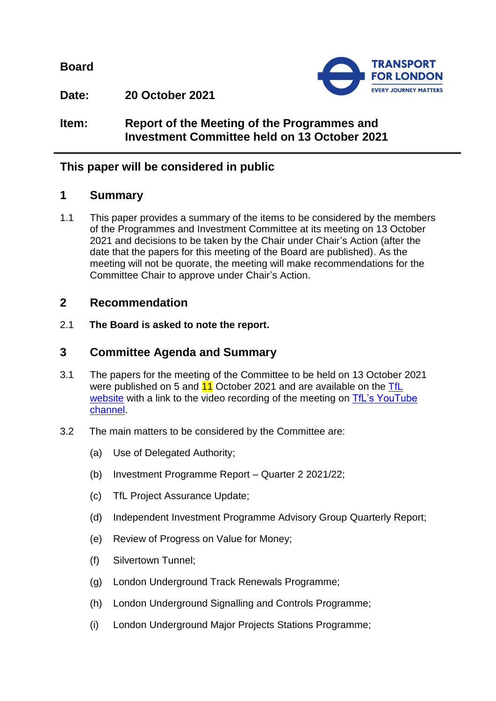**Board**



**Date: 20 October 2021**

**Item: Report of the Meeting of the Programmes and Investment Committee held on 13 October 2021**

# **This paper will be considered in public**

## **1 Summary**

1.1 This paper provides a summary of the items to be considered by the members of the Programmes and Investment Committee at its meeting on 13 October 2021 and decisions to be taken by the Chair under Chair's Action (after the date that the papers for this meeting of the Board are published). As the meeting will not be quorate, the meeting will make recommendations for the Committee Chair to approve under Chair's Action.

# **2 Recommendation**

2.1 **The Board is asked to note the report.**

# **3 Committee Agenda and Summary**

- 3.1 The papers for the meeting of the Committee to be held on 13 October 2021 were published on 5 and 11 October 2021 and are available on the TfL [website](https://board.tfl.gov.uk/uuCoverPage.aspx?bcr=1) with a link to the video recording of the meeting on TfL's YouTube [channel.](https://www.youtube.com/playlist?list=PLtnlusA0Zoggk4qvN68OcnD9k_7B8cY_d)
- 3.2 The main matters to be considered by the Committee are:
	- (a) Use of Delegated Authority;
	- (b) Investment Programme Report Quarter 2 2021/22;
	- (c) TfL Project Assurance Update;
	- (d) Independent Investment Programme Advisory Group Quarterly Report;
	- (e) Review of Progress on Value for Money;
	- (f) Silvertown Tunnel;
	- (g) London Underground Track Renewals Programme;
	- (h) London Underground Signalling and Controls Programme;
	- (i) London Underground Major Projects Stations Programme;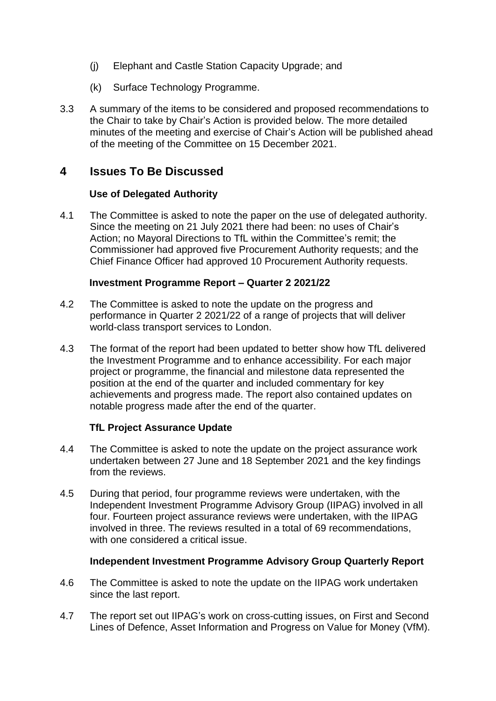- (j) Elephant and Castle Station Capacity Upgrade; and
- (k) Surface Technology Programme.
- 3.3 A summary of the items to be considered and proposed recommendations to the Chair to take by Chair's Action is provided below. The more detailed minutes of the meeting and exercise of Chair's Action will be published ahead of the meeting of the Committee on 15 December 2021.

# **4 Issues To Be Discussed**

### **Use of Delegated Authority**

4.1 The Committee is asked to note the paper on the use of delegated authority. Since the meeting on 21 July 2021 there had been: no uses of Chair's Action; no Mayoral Directions to TfL within the Committee's remit; the Commissioner had approved five Procurement Authority requests; and the Chief Finance Officer had approved 10 Procurement Authority requests.

#### **Investment Programme Report – Quarter 2 2021/22**

- 4.2 The Committee is asked to note the update on the progress and performance in Quarter 2 2021/22 of a range of projects that will deliver world-class transport services to London.
- 4.3 The format of the report had been updated to better show how TfL delivered the Investment Programme and to enhance accessibility. For each major project or programme, the financial and milestone data represented the position at the end of the quarter and included commentary for key achievements and progress made. The report also contained updates on notable progress made after the end of the quarter.

## **TfL Project Assurance Update**

- 4.4 The Committee is asked to note the update on the project assurance work undertaken between 27 June and 18 September 2021 and the key findings from the reviews.
- 4.5 During that period, four programme reviews were undertaken, with the Independent Investment Programme Advisory Group (IIPAG) involved in all four. Fourteen project assurance reviews were undertaken, with the IIPAG involved in three. The reviews resulted in a total of 69 recommendations, with one considered a critical issue.

#### **Independent Investment Programme Advisory Group Quarterly Report**

- 4.6 The Committee is asked to note the update on the IIPAG work undertaken since the last report.
- 4.7 The report set out IIPAG's work on cross-cutting issues, on First and Second Lines of Defence, Asset Information and Progress on Value for Money (VfM).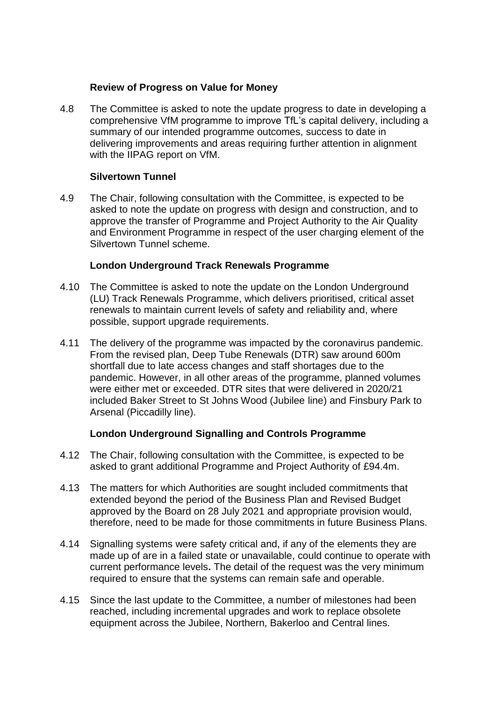#### **Review of Progress on Value for Money**

4.8 The Committee is asked to note the update progress to date in developing a comprehensive VfM programme to improve TfL's capital delivery, including a summary of our intended programme outcomes, success to date in delivering improvements and areas requiring further attention in alignment with the IIPAG report on VfM.

#### **Silvertown Tunnel**

4.9 The Chair, following consultation with the Committee, is expected to be asked to note the update on progress with design and construction, and to approve the transfer of Programme and Project Authority to the Air Quality and Environment Programme in respect of the user charging element of the Silvertown Tunnel scheme.

### **London Underground Track Renewals Programme**

- 4.10 The Committee is asked to note the update on the London Underground (LU) Track Renewals Programme, which delivers prioritised, critical asset renewals to maintain current levels of safety and reliability and, where possible, support upgrade requirements.
- 4.11 The delivery of the programme was impacted by the coronavirus pandemic. From the revised plan, Deep Tube Renewals (DTR) saw around 600m shortfall due to late access changes and staff shortages due to the pandemic. However, in all other areas of the programme, planned volumes were either met or exceeded. DTR sites that were delivered in 2020/21 included Baker Street to St Johns Wood (Jubilee line) and Finsbury Park to Arsenal (Piccadilly line).

## **London Underground Signalling and Controls Programme**

- 4.12 The Chair, following consultation with the Committee, is expected to be asked to grant additional Programme and Project Authority of £94.4m.
- 4.13 The matters for which Authorities are sought included commitments that extended beyond the period of the Business Plan and Revised Budget approved by the Board on 28 July 2021 and appropriate provision would, therefore, need to be made for those commitments in future Business Plans.
- 4.14 Signalling systems were safety critical and, if any of the elements they are made up of are in a failed state or unavailable, could continue to operate with current performance levels**.** The detail of the request was the very minimum required to ensure that the systems can remain safe and operable.
- 4.15 Since the last update to the Committee, a number of milestones had been reached, including incremental upgrades and work to replace obsolete equipment across the Jubilee, Northern, Bakerloo and Central lines.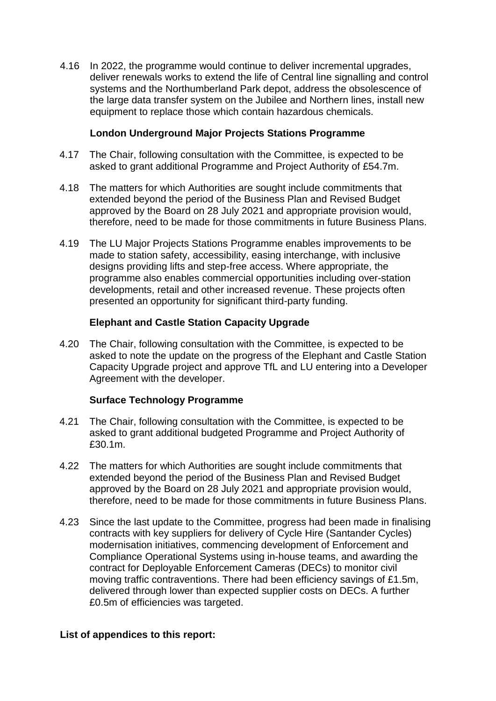4.16 In 2022, the programme would continue to deliver incremental upgrades, deliver renewals works to extend the life of Central line signalling and control systems and the Northumberland Park depot, address the obsolescence of the large data transfer system on the Jubilee and Northern lines, install new equipment to replace those which contain hazardous chemicals.

### **London Underground Major Projects Stations Programme**

- 4.17 The Chair, following consultation with the Committee, is expected to be asked to grant additional Programme and Project Authority of £54.7m.
- 4.18 The matters for which Authorities are sought include commitments that extended beyond the period of the Business Plan and Revised Budget approved by the Board on 28 July 2021 and appropriate provision would, therefore, need to be made for those commitments in future Business Plans.
- 4.19 The LU Major Projects Stations Programme enables improvements to be made to station safety, accessibility, easing interchange, with inclusive designs providing lifts and step-free access. Where appropriate, the programme also enables commercial opportunities including over-station developments, retail and other increased revenue. These projects often presented an opportunity for significant third-party funding.

#### **Elephant and Castle Station Capacity Upgrade**

4.20 The Chair, following consultation with the Committee, is expected to be asked to note the update on the progress of the Elephant and Castle Station Capacity Upgrade project and approve TfL and LU entering into a Developer Agreement with the developer.

## **Surface Technology Programme**

- 4.21 The Chair, following consultation with the Committee, is expected to be asked to grant additional budgeted Programme and Project Authority of £30.1m.
- 4.22 The matters for which Authorities are sought include commitments that extended beyond the period of the Business Plan and Revised Budget approved by the Board on 28 July 2021 and appropriate provision would, therefore, need to be made for those commitments in future Business Plans.
- 4.23 Since the last update to the Committee, progress had been made in finalising contracts with key suppliers for delivery of Cycle Hire (Santander Cycles) modernisation initiatives, commencing development of Enforcement and Compliance Operational Systems using in-house teams, and awarding the contract for Deployable Enforcement Cameras (DECs) to monitor civil moving traffic contraventions. There had been efficiency savings of £1.5m, delivered through lower than expected supplier costs on DECs. A further £0.5m of efficiencies was targeted.

#### **List of appendices to this report:**